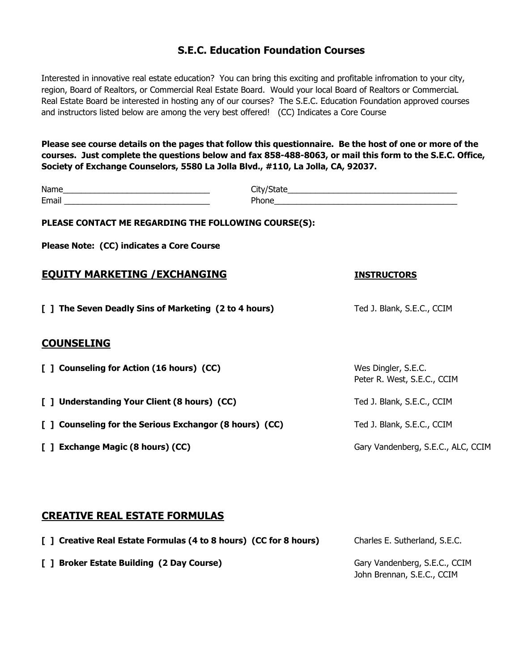## **S.E.C. Education Foundation Courses**

Interested in innovative real estate education? You can bring this exciting and profitable infromation to your city, region, Board of Realtors, or Commercial Real Estate Board. Would your local Board of Realtors or CommerciaL Real Estate Board be interested in hosting any of our courses? The S.E.C. Education Foundation approved courses and instructors listed below are among the very best offered! (CC) Indicates a Core Course

**Please see course details on the pages that follow this questionnaire. Be the host of one or more of the courses. Just complete the questions below and fax 858-488-8063, or mail this form to the S.E.C. Office, Society of Exchange Counselors, 5580 La Jolla Blvd., #110, La Jolla, CA, 92037.**

| PLEASE CONTACT ME REGARDING THE FOLLOWING COURSE(S):    |  |                                                    |  |
|---------------------------------------------------------|--|----------------------------------------------------|--|
| Please Note: (CC) indicates a Core Course               |  |                                                    |  |
| <b>EQUITY MARKETING / EXCHANGING</b>                    |  | <b>INSTRUCTORS</b>                                 |  |
| [ ] The Seven Deadly Sins of Marketing (2 to 4 hours)   |  | Ted J. Blank, S.E.C., CCIM                         |  |
| <b>COUNSELING</b>                                       |  |                                                    |  |
| [ ] Counseling for Action (16 hours) (CC)               |  | Wes Dingler, S.E.C.<br>Peter R. West, S.E.C., CCIM |  |
| [ ] Understanding Your Client (8 hours) (CC)            |  | Ted J. Blank, S.E.C., CCIM                         |  |
| [ ] Counseling for the Serious Exchangor (8 hours) (CC) |  | Ted J. Blank, S.E.C., CCIM                         |  |
| [ ] Exchange Magic (8 hours) (CC)                       |  | Gary Vandenberg, S.E.C., ALC, CCIM                 |  |

## **CREATIVE REAL ESTATE FORMULAS**

| [] Creative Real Estate Formulas (4 to 8 hours) (CC for 8 hours) | Charles E. Sutherland, S.E.C.                               |
|------------------------------------------------------------------|-------------------------------------------------------------|
| [ ] Broker Estate Building (2 Day Course)                        | Gary Vandenberg, S.E.C., CCIM<br>John Brennan, S.E.C., CCIM |